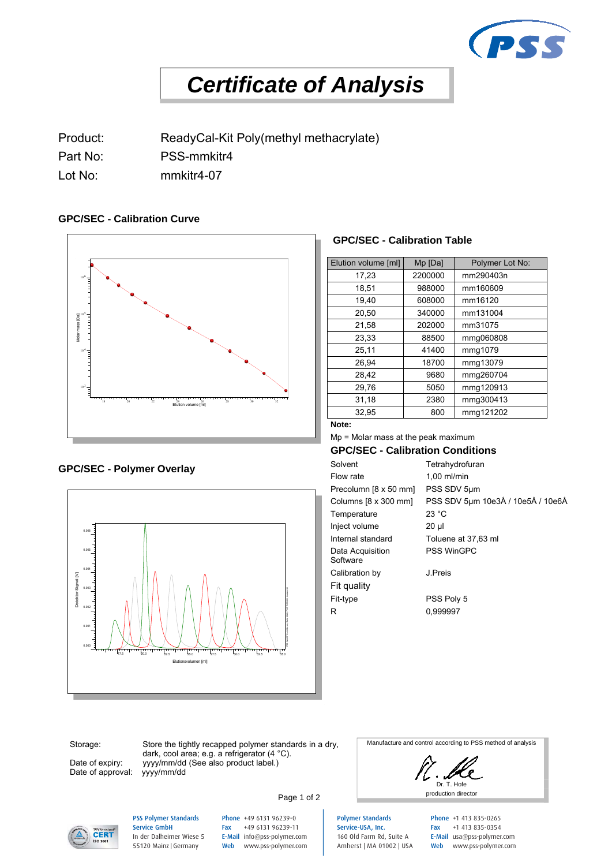

# *Certificate of Analysis*

Product: ReadyCal-Kit Poly(methyl methacrylate)

Part No: PSS-mmkitr4

Lot No: mmkitr4-07

#### **GPC/SEC - Calibration Curve**



## **GPC/SEC - Polymer Overlay**<br>Flow rate



#### **GPC/SEC - Calibration Table**

| Elution volume [ml] | Mp [Da] | Polymer Lot No: |
|---------------------|---------|-----------------|
| 17,23               | 2200000 | mm290403n       |
| 18,51               | 988000  | mm160609        |
| 19.40               | 608000  | mm16120         |
| 20,50               | 340000  | mm131004        |
| 21,58               | 202000  | mm31075         |
| 23,33               | 88500   | mmg060808       |
| 25,11               | 41400   | mmg1079         |
| 26,94               | 18700   | mmg13079        |
| 28,42               | 9680    | mmg260704       |
| 29,76               | 5050    | mmg120913       |
| 31,18               | 2380    | mmg300413       |
| 32.95               | 800     | mmg121202       |

#### **Note:**

Mp = Molar mass at the peak maximum

**GPC/SEC - Calibration Conditions**

Tetrahydrofuran  $1,00$  ml/min Precolumn [8 x 50 mm] PSS SDV 5µm Columns [8 x 300 mm] PSS SDV 5µm 10e3Å / 10e5Å / 10e6Å Temperature 23 °C Inject volume 20 µl Internal standard Toluene at 37,63 ml Data Acquisition Software<sup>1</sup> PSS WinGPC Calibration by J.Preis Fit quality Fit-type PSS Poly 5 R 0,999997

Storage:

Date of expiry: Date of approval:

Store the tightly recapped polymer standards in a dry, dark, cool area; e.g. a refrigerator (4 °C). yyyy/mm/dd (See also product label.)<br>yyyy/mm/dd

Manufacture and control according to PSS method of analysis

Dr. T. Hofe Page 1 of 2



#### PSS Polymer Standards Service GmbH In der Dalheimer Wiese 5 55120 Mainz |Germany

Phone +49 6131 96239-0 Fax +49 6131 96239-11 E-Mail info@pss-polymer.com Web www.pss-polymer.com

Polymer Standards Service-USA, Inc. 160 Old Farm Rd, Suite A Amherst | MA 01002 | USA Phone +1 413 835-0265 Fax +1 413 835-0354 E-Mail usa@pss-polymer.com Web www.pss-polymer.com